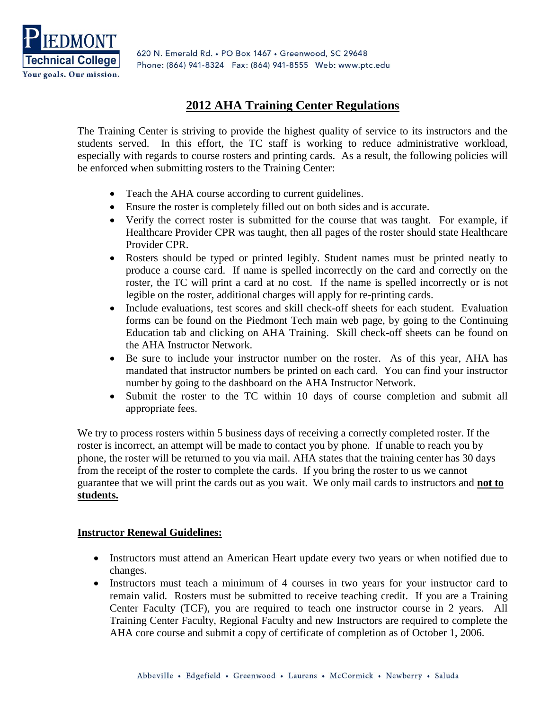

620 N. Emerald Rd. . PO Box 1467 . Greenwood, SC 29648 Phone: (864) 941-8324 Fax: (864) 941-8555 Web: www.ptc.edu

# **2012 AHA Training Center Regulations**

The Training Center is striving to provide the highest quality of service to its instructors and the students served. In this effort, the TC staff is working to reduce administrative workload, especially with regards to course rosters and printing cards. As a result, the following policies will be enforced when submitting rosters to the Training Center:

- Teach the AHA course according to current guidelines.
- Ensure the roster is completely filled out on both sides and is accurate.
- Verify the correct roster is submitted for the course that was taught. For example, if Healthcare Provider CPR was taught, then all pages of the roster should state Healthcare Provider CPR.
- Rosters should be typed or printed legibly. Student names must be printed neatly to produce a course card. If name is spelled incorrectly on the card and correctly on the roster, the TC will print a card at no cost. If the name is spelled incorrectly or is not legible on the roster, additional charges will apply for re-printing cards.
- Include evaluations, test scores and skill check-off sheets for each student. Evaluation forms can be found on the Piedmont Tech main web page, by going to the Continuing Education tab and clicking on AHA Training. Skill check-off sheets can be found on the AHA Instructor Network.
- Be sure to include your instructor number on the roster. As of this year, AHA has mandated that instructor numbers be printed on each card. You can find your instructor number by going to the dashboard on the AHA Instructor Network.
- Submit the roster to the TC within 10 days of course completion and submit all appropriate fees.

We try to process rosters within 5 business days of receiving a correctly completed roster. If the roster is incorrect, an attempt will be made to contact you by phone. If unable to reach you by phone, the roster will be returned to you via mail. AHA states that the training center has 30 days from the receipt of the roster to complete the cards. If you bring the roster to us we cannot guarantee that we will print the cards out as you wait. We only mail cards to instructors and **not to students.**

#### **Instructor Renewal Guidelines:**

- Instructors must attend an American Heart update every two years or when notified due to changes.
- Instructors must teach a minimum of 4 courses in two years for your instructor card to remain valid. Rosters must be submitted to receive teaching credit. If you are a Training Center Faculty (TCF), you are required to teach one instructor course in 2 years. All Training Center Faculty, Regional Faculty and new Instructors are required to complete the AHA core course and submit a copy of certificate of completion as of October 1, 2006.